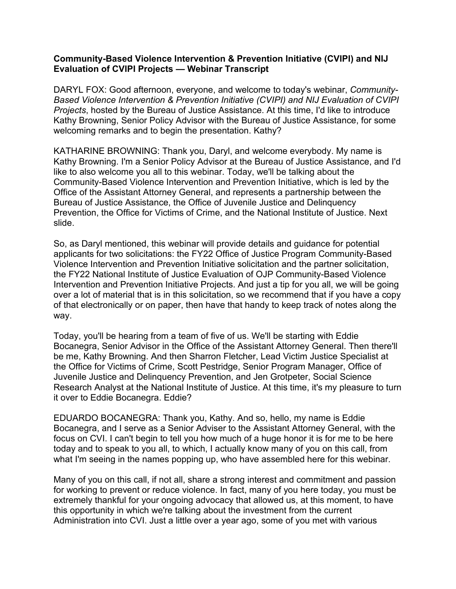## **Community-Based Violence Intervention & Prevention Initiative (CVIPI) and NIJ Evaluation of CVIPI Projects — Webinar Transcript**

DARYL FOX: Good afternoon, everyone, and welcome to today's webinar, *Community-Based Violence Intervention & Prevention Initiative (CVIPI) and NIJ Evaluation of CVIPI Projects*, hosted by the Bureau of Justice Assistance. At this time, I'd like to introduce Kathy Browning, Senior Policy Advisor with the Bureau of Justice Assistance, for some welcoming remarks and to begin the presentation. Kathy?

KATHARINE BROWNING: Thank you, Daryl, and welcome everybody. My name is Kathy Browning. I'm a Senior Policy Advisor at the Bureau of Justice Assistance, and I'd like to also welcome you all to this webinar. Today, we'll be talking about the Community-Based Violence Intervention and Prevention Initiative, which is led by the Office of the Assistant Attorney General, and represents a partnership between the Bureau of Justice Assistance, the Office of Juvenile Justice and Delinquency Prevention, the Office for Victims of Crime, and the National Institute of Justice. Next slide.

So, as Daryl mentioned, this webinar will provide details and guidance for potential applicants for two solicitations: the FY22 Office of Justice Program Community-Based Violence Intervention and Prevention Initiative solicitation and the partner solicitation, the FY22 National Institute of Justice Evaluation of OJP Community-Based Violence Intervention and Prevention Initiative Projects. And just a tip for you all, we will be going over a lot of material that is in this solicitation, so we recommend that if you have a copy of that electronically or on paper, then have that handy to keep track of notes along the way.

Today, you'll be hearing from a team of five of us. We'll be starting with Eddie Bocanegra, Senior Advisor in the Office of the Assistant Attorney General. Then there'll be me, Kathy Browning. And then Sharron Fletcher, Lead Victim Justice Specialist at the Office for Victims of Crime, Scott Pestridge, Senior Program Manager, Office of Juvenile Justice and Delinquency Prevention, and Jen Grotpeter, Social Science Research Analyst at the National Institute of Justice. At this time, it's my pleasure to turn it over to Eddie Bocanegra. Eddie?

EDUARDO BOCANEGRA: Thank you, Kathy. And so, hello, my name is Eddie Bocanegra, and I serve as a Senior Adviser to the Assistant Attorney General, with the focus on CVI. I can't begin to tell you how much of a huge honor it is for me to be here today and to speak to you all, to which, I actually know many of you on this call, from what I'm seeing in the names popping up, who have assembled here for this webinar.

Many of you on this call, if not all, share a strong interest and commitment and passion for working to prevent or reduce violence. In fact, many of you here today, you must be extremely thankful for your ongoing advocacy that allowed us, at this moment, to have this opportunity in which we're talking about the investment from the current Administration into CVI. Just a little over a year ago, some of you met with various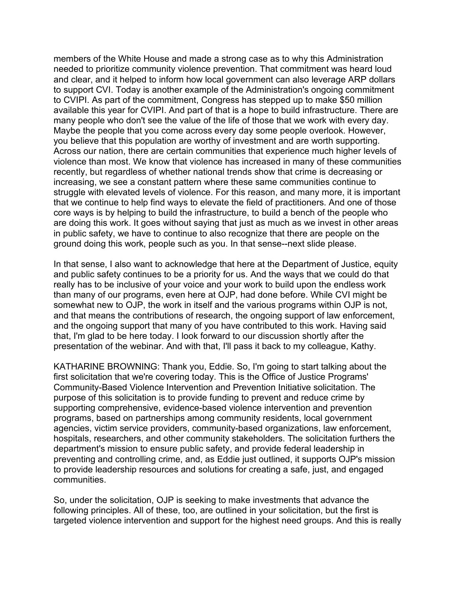members of the White House and made a strong case as to why this Administration needed to prioritize community violence prevention. That commitment was heard loud and clear, and it helped to inform how local government can also leverage ARP dollars to support CVI. Today is another example of the Administration's ongoing commitment to CVIPI. As part of the commitment, Congress has stepped up to make \$50 million available this year for CVIPI. And part of that is a hope to build infrastructure. There are many people who don't see the value of the life of those that we work with every day. Maybe the people that you come across every day some people overlook. However, you believe that this population are worthy of investment and are worth supporting. Across our nation, there are certain communities that experience much higher levels of violence than most. We know that violence has increased in many of these communities recently, but regardless of whether national trends show that crime is decreasing or increasing, we see a constant pattern where these same communities continue to struggle with elevated levels of violence. For this reason, and many more, it is important that we continue to help find ways to elevate the field of practitioners. And one of those core ways is by helping to build the infrastructure, to build a bench of the people who are doing this work. It goes without saying that just as much as we invest in other areas in public safety, we have to continue to also recognize that there are people on the ground doing this work, people such as you. In that sense--next slide please.

In that sense, I also want to acknowledge that here at the Department of Justice, equity and public safety continues to be a priority for us. And the ways that we could do that really has to be inclusive of your voice and your work to build upon the endless work than many of our programs, even here at OJP, had done before. While CVI might be somewhat new to OJP, the work in itself and the various programs within OJP is not, and that means the contributions of research, the ongoing support of law enforcement, and the ongoing support that many of you have contributed to this work. Having said that, I'm glad to be here today. I look forward to our discussion shortly after the presentation of the webinar. And with that, I'll pass it back to my colleague, Kathy.

KATHARINE BROWNING: Thank you, Eddie. So, I'm going to start talking about the first solicitation that we're covering today. This is the Office of Justice Programs' Community-Based Violence Intervention and Prevention Initiative solicitation. The purpose of this solicitation is to provide funding to prevent and reduce crime by supporting comprehensive, evidence-based violence intervention and prevention programs, based on partnerships among community residents, local government agencies, victim service providers, community-based organizations, law enforcement, hospitals, researchers, and other community stakeholders. The solicitation furthers the department's mission to ensure public safety, and provide federal leadership in preventing and controlling crime, and, as Eddie just outlined, it supports OJP's mission to provide leadership resources and solutions for creating a safe, just, and engaged communities.

So, under the solicitation, OJP is seeking to make investments that advance the following principles. All of these, too, are outlined in your solicitation, but the first is targeted violence intervention and support for the highest need groups. And this is really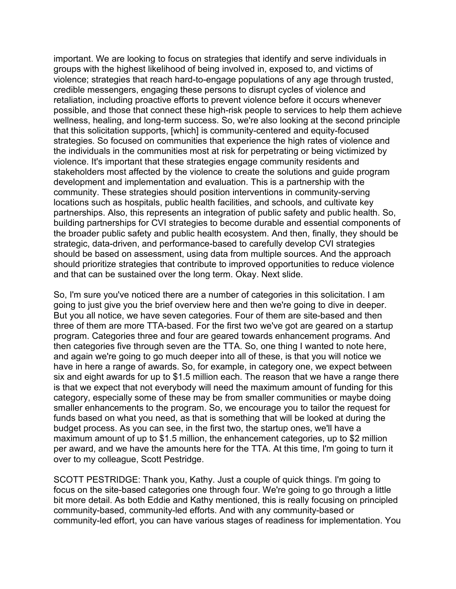important. We are looking to focus on strategies that identify and serve individuals in groups with the highest likelihood of being involved in, exposed to, and victims of violence; strategies that reach hard-to-engage populations of any age through trusted, credible messengers, engaging these persons to disrupt cycles of violence and retaliation, including proactive efforts to prevent violence before it occurs whenever possible, and those that connect these high-risk people to services to help them achieve wellness, healing, and long-term success. So, we're also looking at the second principle that this solicitation supports, [which] is community-centered and equity-focused strategies. So focused on communities that experience the high rates of violence and the individuals in the communities most at risk for perpetrating or being victimized by violence. It's important that these strategies engage community residents and stakeholders most affected by the violence to create the solutions and guide program development and implementation and evaluation. This is a partnership with the community. These strategies should position interventions in community-serving locations such as hospitals, public health facilities, and schools, and cultivate key partnerships. Also, this represents an integration of public safety and public health. So, building partnerships for CVI strategies to become durable and essential components of the broader public safety and public health ecosystem. And then, finally, they should be strategic, data-driven, and performance-based to carefully develop CVI strategies should be based on assessment, using data from multiple sources. And the approach should prioritize strategies that contribute to improved opportunities to reduce violence and that can be sustained over the long term. Okay. Next slide.

So, I'm sure you've noticed there are a number of categories in this solicitation. I am going to just give you the brief overview here and then we're going to dive in deeper. But you all notice, we have seven categories. Four of them are site-based and then three of them are more TTA-based. For the first two we've got are geared on a startup program. Categories three and four are geared towards enhancement programs. And then categories five through seven are the TTA. So, one thing I wanted to note here, and again we're going to go much deeper into all of these, is that you will notice we have in here a range of awards. So, for example, in category one, we expect between six and eight awards for up to \$1.5 million each. The reason that we have a range there is that we expect that not everybody will need the maximum amount of funding for this category, especially some of these may be from smaller communities or maybe doing smaller enhancements to the program. So, we encourage you to tailor the request for funds based on what you need, as that is something that will be looked at during the budget process. As you can see, in the first two, the startup ones, we'll have a maximum amount of up to \$1.5 million, the enhancement categories, up to \$2 million per award, and we have the amounts here for the TTA. At this time, I'm going to turn it over to my colleague, Scott Pestridge.

SCOTT PESTRIDGE: Thank you, Kathy. Just a couple of quick things. I'm going to focus on the site-based categories one through four. We're going to go through a little bit more detail. As both Eddie and Kathy mentioned, this is really focusing on principled community-based, community-led efforts. And with any community-based or community-led effort, you can have various stages of readiness for implementation. You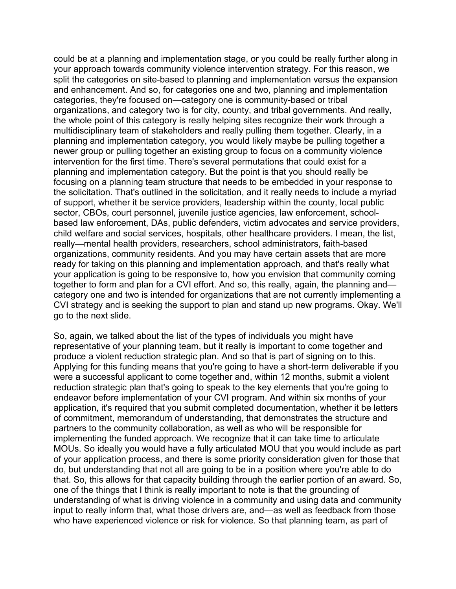could be at a planning and implementation stage, or you could be really further along in your approach towards community violence intervention strategy. For this reason, we split the categories on site-based to planning and implementation versus the expansion and enhancement. And so, for categories one and two, planning and implementation categories, they're focused on—category one is community-based or tribal organizations, and category two is for city, county, and tribal governments. And really, the whole point of this category is really helping sites recognize their work through a multidisciplinary team of stakeholders and really pulling them together. Clearly, in a planning and implementation category, you would likely maybe be pulling together a newer group or pulling together an existing group to focus on a community violence intervention for the first time. There's several permutations that could exist for a planning and implementation category. But the point is that you should really be focusing on a planning team structure that needs to be embedded in your response to the solicitation. That's outlined in the solicitation, and it really needs to include a myriad of support, whether it be service providers, leadership within the county, local public sector, CBOs, court personnel, juvenile justice agencies, law enforcement, schoolbased law enforcement, DAs, public defenders, victim advocates and service providers, child welfare and social services, hospitals, other healthcare providers. I mean, the list, really—mental health providers, researchers, school administrators, faith-based organizations, community residents. And you may have certain assets that are more ready for taking on this planning and implementation approach, and that's really what your application is going to be responsive to, how you envision that community coming together to form and plan for a CVI effort. And so, this really, again, the planning and category one and two is intended for organizations that are not currently implementing a CVI strategy and is seeking the support to plan and stand up new programs. Okay. We'll go to the next slide.

So, again, we talked about the list of the types of individuals you might have representative of your planning team, but it really is important to come together and produce a violent reduction strategic plan. And so that is part of signing on to this. Applying for this funding means that you're going to have a short-term deliverable if you were a successful applicant to come together and, within 12 months, submit a violent reduction strategic plan that's going to speak to the key elements that you're going to endeavor before implementation of your CVI program. And within six months of your application, it's required that you submit completed documentation, whether it be letters of commitment, memorandum of understanding, that demonstrates the structure and partners to the community collaboration, as well as who will be responsible for implementing the funded approach. We recognize that it can take time to articulate MOUs. So ideally you would have a fully articulated MOU that you would include as part of your application process, and there is some priority consideration given for those that do, but understanding that not all are going to be in a position where you're able to do that. So, this allows for that capacity building through the earlier portion of an award. So, one of the things that I think is really important to note is that the grounding of understanding of what is driving violence in a community and using data and community input to really inform that, what those drivers are, and—as well as feedback from those who have experienced violence or risk for violence. So that planning team, as part of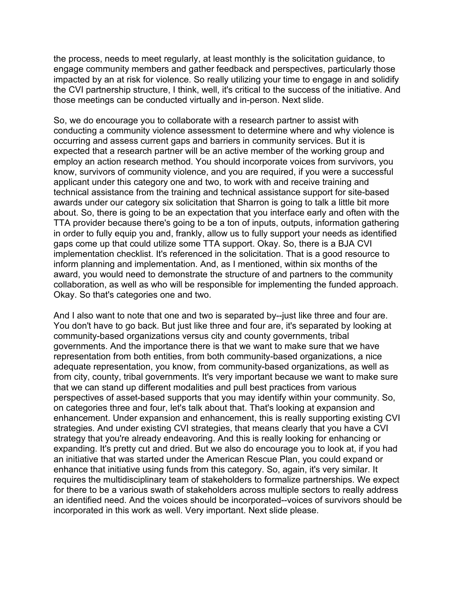the process, needs to meet regularly, at least monthly is the solicitation guidance, to engage community members and gather feedback and perspectives, particularly those impacted by an at risk for violence. So really utilizing your time to engage in and solidify the CVI partnership structure, I think, well, it's critical to the success of the initiative. And those meetings can be conducted virtually and in-person. Next slide.

So, we do encourage you to collaborate with a research partner to assist with conducting a community violence assessment to determine where and why violence is occurring and assess current gaps and barriers in community services. But it is expected that a research partner will be an active member of the working group and employ an action research method. You should incorporate voices from survivors, you know, survivors of community violence, and you are required, if you were a successful applicant under this category one and two, to work with and receive training and technical assistance from the training and technical assistance support for site-based awards under our category six solicitation that Sharron is going to talk a little bit more about. So, there is going to be an expectation that you interface early and often with the TTA provider because there's going to be a ton of inputs, outputs, information gathering in order to fully equip you and, frankly, allow us to fully support your needs as identified gaps come up that could utilize some TTA support. Okay. So, there is a BJA CVI implementation checklist. It's referenced in the solicitation. That is a good resource to inform planning and implementation. And, as I mentioned, within six months of the award, you would need to demonstrate the structure of and partners to the community collaboration, as well as who will be responsible for implementing the funded approach. Okay. So that's categories one and two.

And I also want to note that one and two is separated by--just like three and four are. You don't have to go back. But just like three and four are, it's separated by looking at community-based organizations versus city and county governments, tribal governments. And the importance there is that we want to make sure that we have representation from both entities, from both community-based organizations, a nice adequate representation, you know, from community-based organizations, as well as from city, county, tribal governments. It's very important because we want to make sure that we can stand up different modalities and pull best practices from various perspectives of asset-based supports that you may identify within your community. So, on categories three and four, let's talk about that. That's looking at expansion and enhancement. Under expansion and enhancement, this is really supporting existing CVI strategies. And under existing CVI strategies, that means clearly that you have a CVI strategy that you're already endeavoring. And this is really looking for enhancing or expanding. It's pretty cut and dried. But we also do encourage you to look at, if you had an initiative that was started under the American Rescue Plan, you could expand or enhance that initiative using funds from this category. So, again, it's very similar. It requires the multidisciplinary team of stakeholders to formalize partnerships. We expect for there to be a various swath of stakeholders across multiple sectors to really address an identified need. And the voices should be incorporated--voices of survivors should be incorporated in this work as well. Very important. Next slide please.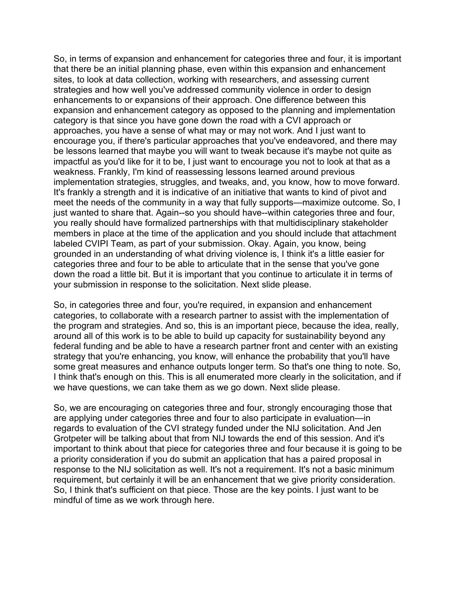So, in terms of expansion and enhancement for categories three and four, it is important that there be an initial planning phase, even within this expansion and enhancement sites, to look at data collection, working with researchers, and assessing current strategies and how well you've addressed community violence in order to design enhancements to or expansions of their approach. One difference between this expansion and enhancement category as opposed to the planning and implementation category is that since you have gone down the road with a CVI approach or approaches, you have a sense of what may or may not work. And I just want to encourage you, if there's particular approaches that you've endeavored, and there may be lessons learned that maybe you will want to tweak because it's maybe not quite as impactful as you'd like for it to be, I just want to encourage you not to look at that as a weakness. Frankly, I'm kind of reassessing lessons learned around previous implementation strategies, struggles, and tweaks, and, you know, how to move forward. It's frankly a strength and it is indicative of an initiative that wants to kind of pivot and meet the needs of the community in a way that fully supports—maximize outcome. So, I just wanted to share that. Again--so you should have--within categories three and four, you really should have formalized partnerships with that multidisciplinary stakeholder members in place at the time of the application and you should include that attachment labeled CVIPI Team, as part of your submission. Okay. Again, you know, being grounded in an understanding of what driving violence is, I think it's a little easier for categories three and four to be able to articulate that in the sense that you've gone down the road a little bit. But it is important that you continue to articulate it in terms of your submission in response to the solicitation. Next slide please.

So, in categories three and four, you're required, in expansion and enhancement categories, to collaborate with a research partner to assist with the implementation of the program and strategies. And so, this is an important piece, because the idea, really, around all of this work is to be able to build up capacity for sustainability beyond any federal funding and be able to have a research partner front and center with an existing strategy that you're enhancing, you know, will enhance the probability that you'll have some great measures and enhance outputs longer term. So that's one thing to note. So, I think that's enough on this. This is all enumerated more clearly in the solicitation, and if we have questions, we can take them as we go down. Next slide please.

So, we are encouraging on categories three and four, strongly encouraging those that are applying under categories three and four to also participate in evaluation—in regards to evaluation of the CVI strategy funded under the NIJ solicitation. And Jen Grotpeter will be talking about that from NIJ towards the end of this session. And it's important to think about that piece for categories three and four because it is going to be a priority consideration if you do submit an application that has a paired proposal in response to the NIJ solicitation as well. It's not a requirement. It's not a basic minimum requirement, but certainly it will be an enhancement that we give priority consideration. So, I think that's sufficient on that piece. Those are the key points. I just want to be mindful of time as we work through here.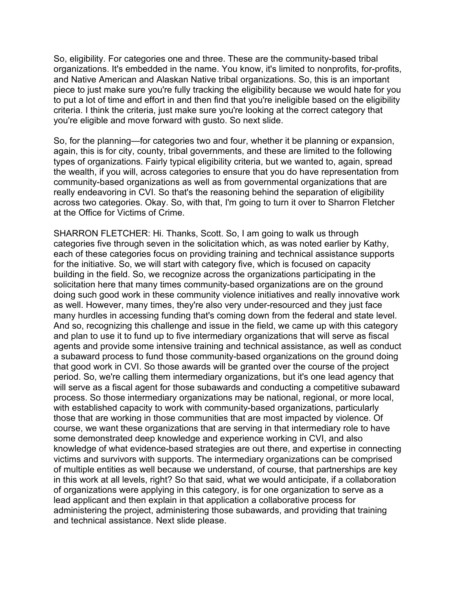So, eligibility. For categories one and three. These are the community-based tribal organizations. It's embedded in the name. You know, it's limited to nonprofits, for-profits, and Native American and Alaskan Native tribal organizations. So, this is an important piece to just make sure you're fully tracking the eligibility because we would hate for you to put a lot of time and effort in and then find that you're ineligible based on the eligibility criteria. I think the criteria, just make sure you're looking at the correct category that you're eligible and move forward with gusto. So next slide.

So, for the planning—for categories two and four, whether it be planning or expansion, again, this is for city, county, tribal governments, and these are limited to the following types of organizations. Fairly typical eligibility criteria, but we wanted to, again, spread the wealth, if you will, across categories to ensure that you do have representation from community-based organizations as well as from governmental organizations that are really endeavoring in CVI. So that's the reasoning behind the separation of eligibility across two categories. Okay. So, with that, I'm going to turn it over to Sharron Fletcher at the Office for Victims of Crime.

SHARRON FLETCHER: Hi. Thanks, Scott. So, I am going to walk us through categories five through seven in the solicitation which, as was noted earlier by Kathy, each of these categories focus on providing training and technical assistance supports for the initiative. So, we will start with category five, which is focused on capacity building in the field. So, we recognize across the organizations participating in the solicitation here that many times community-based organizations are on the ground doing such good work in these community violence initiatives and really innovative work as well. However, many times, they're also very under-resourced and they just face many hurdles in accessing funding that's coming down from the federal and state level. And so, recognizing this challenge and issue in the field, we came up with this category and plan to use it to fund up to five intermediary organizations that will serve as fiscal agents and provide some intensive training and technical assistance, as well as conduct a subaward process to fund those community-based organizations on the ground doing that good work in CVI. So those awards will be granted over the course of the project period. So, we're calling them intermediary organizations, but it's one lead agency that will serve as a fiscal agent for those subawards and conducting a competitive subaward process. So those intermediary organizations may be national, regional, or more local, with established capacity to work with community-based organizations, particularly those that are working in those communities that are most impacted by violence. Of course, we want these organizations that are serving in that intermediary role to have some demonstrated deep knowledge and experience working in CVI, and also knowledge of what evidence-based strategies are out there, and expertise in connecting victims and survivors with supports. The intermediary organizations can be comprised of multiple entities as well because we understand, of course, that partnerships are key in this work at all levels, right? So that said, what we would anticipate, if a collaboration of organizations were applying in this category, is for one organization to serve as a lead applicant and then explain in that application a collaborative process for administering the project, administering those subawards, and providing that training and technical assistance. Next slide please.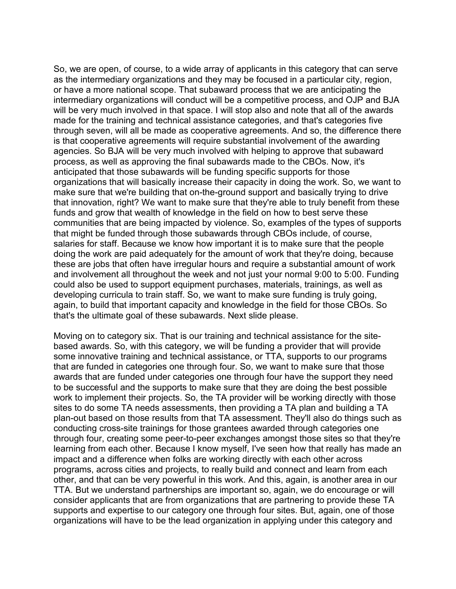So, we are open, of course, to a wide array of applicants in this category that can serve as the intermediary organizations and they may be focused in a particular city, region, or have a more national scope. That subaward process that we are anticipating the intermediary organizations will conduct will be a competitive process, and OJP and BJA will be very much involved in that space. I will stop also and note that all of the awards made for the training and technical assistance categories, and that's categories five through seven, will all be made as cooperative agreements. And so, the difference there is that cooperative agreements will require substantial involvement of the awarding agencies. So BJA will be very much involved with helping to approve that subaward process, as well as approving the final subawards made to the CBOs. Now, it's anticipated that those subawards will be funding specific supports for those organizations that will basically increase their capacity in doing the work. So, we want to make sure that we're building that on-the-ground support and basically trying to drive that innovation, right? We want to make sure that they're able to truly benefit from these funds and grow that wealth of knowledge in the field on how to best serve these communities that are being impacted by violence. So, examples of the types of supports that might be funded through those subawards through CBOs include, of course, salaries for staff. Because we know how important it is to make sure that the people doing the work are paid adequately for the amount of work that they're doing, because these are jobs that often have irregular hours and require a substantial amount of work and involvement all throughout the week and not just your normal 9:00 to 5:00. Funding could also be used to support equipment purchases, materials, trainings, as well as developing curricula to train staff. So, we want to make sure funding is truly going, again, to build that important capacity and knowledge in the field for those CBOs. So that's the ultimate goal of these subawards. Next slide please.

Moving on to category six. That is our training and technical assistance for the sitebased awards. So, with this category, we will be funding a provider that will provide some innovative training and technical assistance, or TTA, supports to our programs that are funded in categories one through four. So, we want to make sure that those awards that are funded under categories one through four have the support they need to be successful and the supports to make sure that they are doing the best possible work to implement their projects. So, the TA provider will be working directly with those sites to do some TA needs assessments, then providing a TA plan and building a TA plan-out based on those results from that TA assessment. They'll also do things such as conducting cross-site trainings for those grantees awarded through categories one through four, creating some peer-to-peer exchanges amongst those sites so that they're learning from each other. Because I know myself, I've seen how that really has made an impact and a difference when folks are working directly with each other across programs, across cities and projects, to really build and connect and learn from each other, and that can be very powerful in this work. And this, again, is another area in our TTA. But we understand partnerships are important so, again, we do encourage or will consider applicants that are from organizations that are partnering to provide these TA supports and expertise to our category one through four sites. But, again, one of those organizations will have to be the lead organization in applying under this category and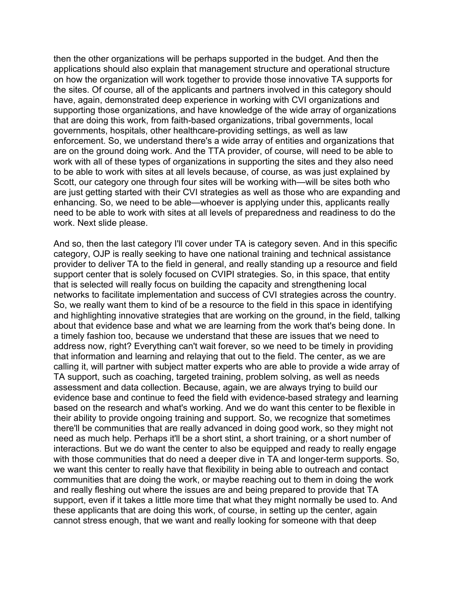then the other organizations will be perhaps supported in the budget. And then the applications should also explain that management structure and operational structure on how the organization will work together to provide those innovative TA supports for the sites. Of course, all of the applicants and partners involved in this category should have, again, demonstrated deep experience in working with CVI organizations and supporting those organizations, and have knowledge of the wide array of organizations that are doing this work, from faith-based organizations, tribal governments, local governments, hospitals, other healthcare-providing settings, as well as law enforcement. So, we understand there's a wide array of entities and organizations that are on the ground doing work. And the TTA provider, of course, will need to be able to work with all of these types of organizations in supporting the sites and they also need to be able to work with sites at all levels because, of course, as was just explained by Scott, our category one through four sites will be working with—will be sites both who are just getting started with their CVI strategies as well as those who are expanding and enhancing. So, we need to be able—whoever is applying under this, applicants really need to be able to work with sites at all levels of preparedness and readiness to do the work. Next slide please.

And so, then the last category I'll cover under TA is category seven. And in this specific category, OJP is really seeking to have one national training and technical assistance provider to deliver TA to the field in general, and really standing up a resource and field support center that is solely focused on CVIPI strategies. So, in this space, that entity that is selected will really focus on building the capacity and strengthening local networks to facilitate implementation and success of CVI strategies across the country. So, we really want them to kind of be a resource to the field in this space in identifying and highlighting innovative strategies that are working on the ground, in the field, talking about that evidence base and what we are learning from the work that's being done. In a timely fashion too, because we understand that these are issues that we need to address now, right? Everything can't wait forever, so we need to be timely in providing that information and learning and relaying that out to the field. The center, as we are calling it, will partner with subject matter experts who are able to provide a wide array of TA support, such as coaching, targeted training, problem solving, as well as needs assessment and data collection. Because, again, we are always trying to build our evidence base and continue to feed the field with evidence-based strategy and learning based on the research and what's working. And we do want this center to be flexible in their ability to provide ongoing training and support. So, we recognize that sometimes there'll be communities that are really advanced in doing good work, so they might not need as much help. Perhaps it'll be a short stint, a short training, or a short number of interactions. But we do want the center to also be equipped and ready to really engage with those communities that do need a deeper dive in TA and longer-term supports. So, we want this center to really have that flexibility in being able to outreach and contact communities that are doing the work, or maybe reaching out to them in doing the work and really fleshing out where the issues are and being prepared to provide that TA support, even if it takes a little more time that what they might normally be used to. And these applicants that are doing this work, of course, in setting up the center, again cannot stress enough, that we want and really looking for someone with that deep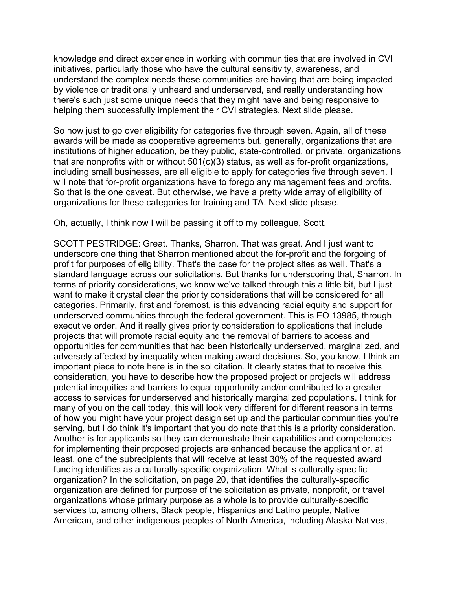knowledge and direct experience in working with communities that are involved in CVI initiatives, particularly those who have the cultural sensitivity, awareness, and understand the complex needs these communities are having that are being impacted by violence or traditionally unheard and underserved, and really understanding how there's such just some unique needs that they might have and being responsive to helping them successfully implement their CVI strategies. Next slide please.

So now just to go over eligibility for categories five through seven. Again, all of these awards will be made as cooperative agreements but, generally, organizations that are institutions of higher education, be they public, state-controlled, or private, organizations that are nonprofits with or without 501(c)(3) status, as well as for-profit organizations, including small businesses, are all eligible to apply for categories five through seven. I will note that for-profit organizations have to forego any management fees and profits. So that is the one caveat. But otherwise, we have a pretty wide array of eligibility of organizations for these categories for training and TA. Next slide please.

Oh, actually, I think now I will be passing it off to my colleague, Scott.

SCOTT PESTRIDGE: Great. Thanks, Sharron. That was great. And I just want to underscore one thing that Sharron mentioned about the for-profit and the forgoing of profit for purposes of eligibility. That's the case for the project sites as well. That's a standard language across our solicitations. But thanks for underscoring that, Sharron. In terms of priority considerations, we know we've talked through this a little bit, but I just want to make it crystal clear the priority considerations that will be considered for all categories. Primarily, first and foremost, is this advancing racial equity and support for underserved communities through the federal government. This is EO 13985, through executive order. And it really gives priority consideration to applications that include projects that will promote racial equity and the removal of barriers to access and opportunities for communities that had been historically underserved, marginalized, and adversely affected by inequality when making award decisions. So, you know, I think an important piece to note here is in the solicitation. It clearly states that to receive this consideration, you have to describe how the proposed project or projects will address potential inequities and barriers to equal opportunity and/or contributed to a greater access to services for underserved and historically marginalized populations. I think for many of you on the call today, this will look very different for different reasons in terms of how you might have your project design set up and the particular communities you're serving, but I do think it's important that you do note that this is a priority consideration. Another is for applicants so they can demonstrate their capabilities and competencies for implementing their proposed projects are enhanced because the applicant or, at least, one of the subrecipients that will receive at least 30% of the requested award funding identifies as a culturally-specific organization. What is culturally-specific organization? In the solicitation, on page 20, that identifies the culturally-specific organization are defined for purpose of the solicitation as private, nonprofit, or travel organizations whose primary purpose as a whole is to provide culturally-specific services to, among others, Black people, Hispanics and Latino people, Native American, and other indigenous peoples of North America, including Alaska Natives,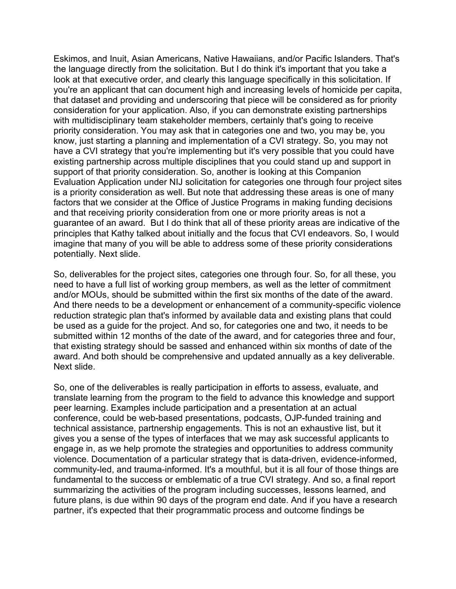Eskimos, and Inuit, Asian Americans, Native Hawaiians, and/or Pacific Islanders. That's the language directly from the solicitation. But I do think it's important that you take a look at that executive order, and clearly this language specifically in this solicitation. If you're an applicant that can document high and increasing levels of homicide per capita, that dataset and providing and underscoring that piece will be considered as for priority consideration for your application. Also, if you can demonstrate existing partnerships with multidisciplinary team stakeholder members, certainly that's going to receive priority consideration. You may ask that in categories one and two, you may be, you know, just starting a planning and implementation of a CVI strategy. So, you may not have a CVI strategy that you're implementing but it's very possible that you could have existing partnership across multiple disciplines that you could stand up and support in support of that priority consideration. So, another is looking at this Companion Evaluation Application under NIJ solicitation for categories one through four project sites is a priority consideration as well. But note that addressing these areas is one of many factors that we consider at the Office of Justice Programs in making funding decisions and that receiving priority consideration from one or more priority areas is not a guarantee of an award. But I do think that all of these priority areas are indicative of the principles that Kathy talked about initially and the focus that CVI endeavors. So, I would imagine that many of you will be able to address some of these priority considerations potentially. Next slide.

So, deliverables for the project sites, categories one through four. So, for all these, you need to have a full list of working group members, as well as the letter of commitment and/or MOUs, should be submitted within the first six months of the date of the award. And there needs to be a development or enhancement of a community-specific violence reduction strategic plan that's informed by available data and existing plans that could be used as a guide for the project. And so, for categories one and two, it needs to be submitted within 12 months of the date of the award, and for categories three and four, that existing strategy should be sassed and enhanced within six months of date of the award. And both should be comprehensive and updated annually as a key deliverable. Next slide.

So, one of the deliverables is really participation in efforts to assess, evaluate, and translate learning from the program to the field to advance this knowledge and support peer learning. Examples include participation and a presentation at an actual conference, could be web-based presentations, podcasts, OJP-funded training and technical assistance, partnership engagements. This is not an exhaustive list, but it gives you a sense of the types of interfaces that we may ask successful applicants to engage in, as we help promote the strategies and opportunities to address community violence. Documentation of a particular strategy that is data-driven, evidence-informed, community-led, and trauma-informed. It's a mouthful, but it is all four of those things are fundamental to the success or emblematic of a true CVI strategy. And so, a final report summarizing the activities of the program including successes, lessons learned, and future plans, is due within 90 days of the program end date. And if you have a research partner, it's expected that their programmatic process and outcome findings be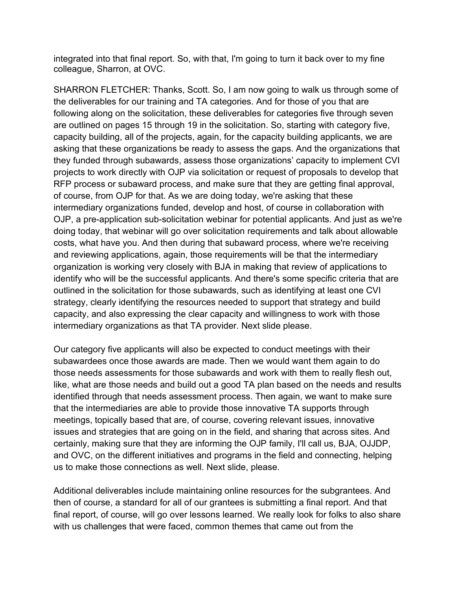integrated into that final report. So, with that, I'm going to turn it back over to my fine colleague, Sharron, at OVC.

SHARRON FLETCHER: Thanks, Scott. So, I am now going to walk us through some of the deliverables for our training and TA categories. And for those of you that are following along on the solicitation, these deliverables for categories five through seven are outlined on pages 15 through 19 in the solicitation. So, starting with category five, capacity building, all of the projects, again, for the capacity building applicants, we are asking that these organizations be ready to assess the gaps. And the organizations that they funded through subawards, assess those organizations' capacity to implement CVI projects to work directly with OJP via solicitation or request of proposals to develop that RFP process or subaward process, and make sure that they are getting final approval, of course, from OJP for that. As we are doing today, we're asking that these intermediary organizations funded, develop and host, of course in collaboration with OJP, a pre-application sub-solicitation webinar for potential applicants. And just as we're doing today, that webinar will go over solicitation requirements and talk about allowable costs, what have you. And then during that subaward process, where we're receiving and reviewing applications, again, those requirements will be that the intermediary organization is working very closely with BJA in making that review of applications to identify who will be the successful applicants. And there's some specific criteria that are outlined in the solicitation for those subawards, such as identifying at least one CVI strategy, clearly identifying the resources needed to support that strategy and build capacity, and also expressing the clear capacity and willingness to work with those intermediary organizations as that TA provider. Next slide please.

Our category five applicants will also be expected to conduct meetings with their subawardees once those awards are made. Then we would want them again to do those needs assessments for those subawards and work with them to really flesh out, like, what are those needs and build out a good TA plan based on the needs and results identified through that needs assessment process. Then again, we want to make sure that the intermediaries are able to provide those innovative TA supports through meetings, topically based that are, of course, covering relevant issues, innovative issues and strategies that are going on in the field, and sharing that across sites. And certainly, making sure that they are informing the OJP family, I'll call us, BJA, OJJDP, and OVC, on the different initiatives and programs in the field and connecting, helping us to make those connections as well. Next slide, please.

Additional deliverables include maintaining online resources for the subgrantees. And then of course, a standard for all of our grantees is submitting a final report. And that final report, of course, will go over lessons learned. We really look for folks to also share with us challenges that were faced, common themes that came out from the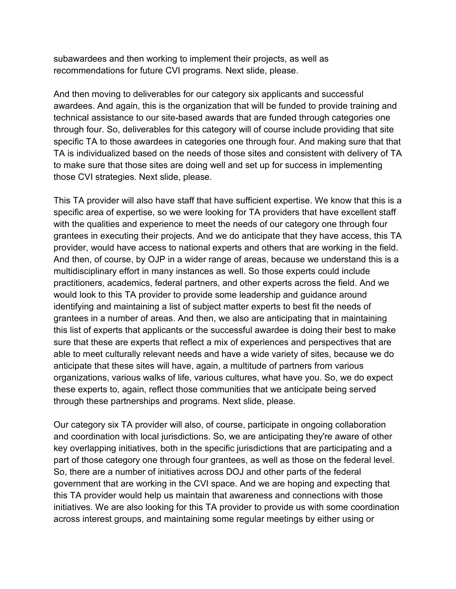subawardees and then working to implement their projects, as well as recommendations for future CVI programs. Next slide, please.

And then moving to deliverables for our category six applicants and successful awardees. And again, this is the organization that will be funded to provide training and technical assistance to our site-based awards that are funded through categories one through four. So, deliverables for this category will of course include providing that site specific TA to those awardees in categories one through four. And making sure that that TA is individualized based on the needs of those sites and consistent with delivery of TA to make sure that those sites are doing well and set up for success in implementing those CVI strategies. Next slide, please.

This TA provider will also have staff that have sufficient expertise. We know that this is a specific area of expertise, so we were looking for TA providers that have excellent staff with the qualities and experience to meet the needs of our category one through four grantees in executing their projects. And we do anticipate that they have access, this TA provider, would have access to national experts and others that are working in the field. And then, of course, by OJP in a wider range of areas, because we understand this is a multidisciplinary effort in many instances as well. So those experts could include practitioners, academics, federal partners, and other experts across the field. And we would look to this TA provider to provide some leadership and guidance around identifying and maintaining a list of subject matter experts to best fit the needs of grantees in a number of areas. And then, we also are anticipating that in maintaining this list of experts that applicants or the successful awardee is doing their best to make sure that these are experts that reflect a mix of experiences and perspectives that are able to meet culturally relevant needs and have a wide variety of sites, because we do anticipate that these sites will have, again, a multitude of partners from various organizations, various walks of life, various cultures, what have you. So, we do expect these experts to, again, reflect those communities that we anticipate being served through these partnerships and programs. Next slide, please.

Our category six TA provider will also, of course, participate in ongoing collaboration and coordination with local jurisdictions. So, we are anticipating they're aware of other key overlapping initiatives, both in the specific jurisdictions that are participating and a part of those category one through four grantees, as well as those on the federal level. So, there are a number of initiatives across DOJ and other parts of the federal government that are working in the CVI space. And we are hoping and expecting that this TA provider would help us maintain that awareness and connections with those initiatives. We are also looking for this TA provider to provide us with some coordination across interest groups, and maintaining some regular meetings by either using or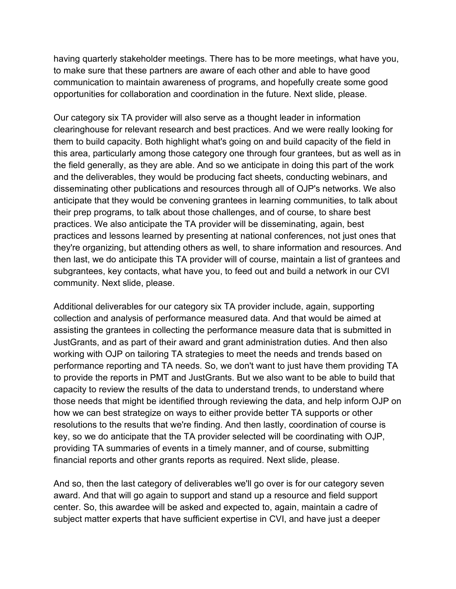having quarterly stakeholder meetings. There has to be more meetings, what have you, to make sure that these partners are aware of each other and able to have good communication to maintain awareness of programs, and hopefully create some good opportunities for collaboration and coordination in the future. Next slide, please.

Our category six TA provider will also serve as a thought leader in information clearinghouse for relevant research and best practices. And we were really looking for them to build capacity. Both highlight what's going on and build capacity of the field in this area, particularly among those category one through four grantees, but as well as in the field generally, as they are able. And so we anticipate in doing this part of the work and the deliverables, they would be producing fact sheets, conducting webinars, and disseminating other publications and resources through all of OJP's networks. We also anticipate that they would be convening grantees in learning communities, to talk about their prep programs, to talk about those challenges, and of course, to share best practices. We also anticipate the TA provider will be disseminating, again, best practices and lessons learned by presenting at national conferences, not just ones that they're organizing, but attending others as well, to share information and resources. And then last, we do anticipate this TA provider will of course, maintain a list of grantees and subgrantees, key contacts, what have you, to feed out and build a network in our CVI community. Next slide, please.

Additional deliverables for our category six TA provider include, again, supporting collection and analysis of performance measured data. And that would be aimed at assisting the grantees in collecting the performance measure data that is submitted in JustGrants, and as part of their award and grant administration duties. And then also working with OJP on tailoring TA strategies to meet the needs and trends based on performance reporting and TA needs. So, we don't want to just have them providing TA to provide the reports in PMT and JustGrants. But we also want to be able to build that capacity to review the results of the data to understand trends, to understand where those needs that might be identified through reviewing the data, and help inform OJP on how we can best strategize on ways to either provide better TA supports or other resolutions to the results that we're finding. And then lastly, coordination of course is key, so we do anticipate that the TA provider selected will be coordinating with OJP, providing TA summaries of events in a timely manner, and of course, submitting financial reports and other grants reports as required. Next slide, please.

And so, then the last category of deliverables we'll go over is for our category seven award. And that will go again to support and stand up a resource and field support center. So, this awardee will be asked and expected to, again, maintain a cadre of subject matter experts that have sufficient expertise in CVI, and have just a deeper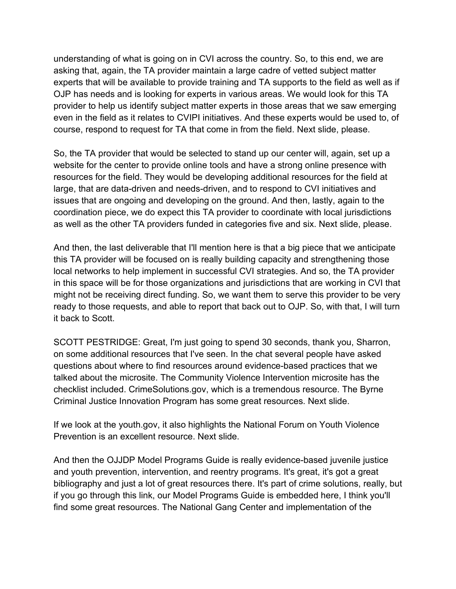understanding of what is going on in CVI across the country. So, to this end, we are asking that, again, the TA provider maintain a large cadre of vetted subject matter experts that will be available to provide training and TA supports to the field as well as if OJP has needs and is looking for experts in various areas. We would look for this TA provider to help us identify subject matter experts in those areas that we saw emerging even in the field as it relates to CVIPI initiatives. And these experts would be used to, of course, respond to request for TA that come in from the field. Next slide, please.

So, the TA provider that would be selected to stand up our center will, again, set up a website for the center to provide online tools and have a strong online presence with resources for the field. They would be developing additional resources for the field at large, that are data-driven and needs-driven, and to respond to CVI initiatives and issues that are ongoing and developing on the ground. And then, lastly, again to the coordination piece, we do expect this TA provider to coordinate with local jurisdictions as well as the other TA providers funded in categories five and six. Next slide, please.

And then, the last deliverable that I'll mention here is that a big piece that we anticipate this TA provider will be focused on is really building capacity and strengthening those local networks to help implement in successful CVI strategies. And so, the TA provider in this space will be for those organizations and jurisdictions that are working in CVI that might not be receiving direct funding. So, we want them to serve this provider to be very ready to those requests, and able to report that back out to OJP. So, with that, I will turn it back to Scott.

SCOTT PESTRIDGE: Great, I'm just going to spend 30 seconds, thank you, Sharron, on some additional resources that I've seen. In the chat several people have asked questions about where to find resources around evidence-based practices that we talked about the microsite. The Community Violence Intervention microsite has the checklist included. CrimeSolutions.gov, which is a tremendous resource. The Byrne Criminal Justice Innovation Program has some great resources. Next slide.

If we look at the youth.gov, it also highlights the National Forum on Youth Violence Prevention is an excellent resource. Next slide.

And then the OJJDP Model Programs Guide is really evidence-based juvenile justice and youth prevention, intervention, and reentry programs. It's great, it's got a great bibliography and just a lot of great resources there. It's part of crime solutions, really, but if you go through this link, our Model Programs Guide is embedded here, I think you'll find some great resources. The National Gang Center and implementation of the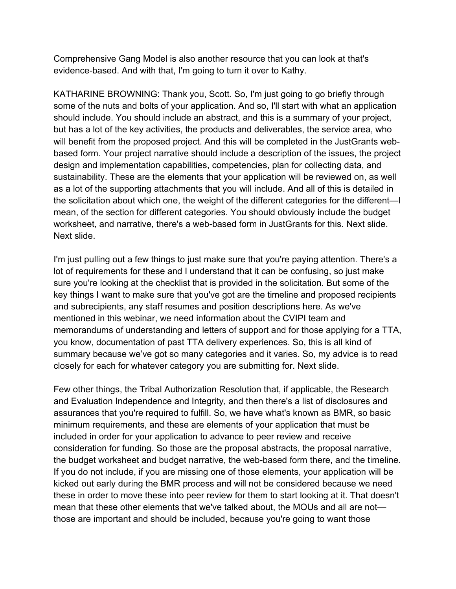Comprehensive Gang Model is also another resource that you can look at that's evidence-based. And with that, I'm going to turn it over to Kathy.

KATHARINE BROWNING: Thank you, Scott. So, I'm just going to go briefly through some of the nuts and bolts of your application. And so, I'll start with what an application should include. You should include an abstract, and this is a summary of your project, but has a lot of the key activities, the products and deliverables, the service area, who will benefit from the proposed project. And this will be completed in the JustGrants webbased form. Your project narrative should include a description of the issues, the project design and implementation capabilities, competencies, plan for collecting data, and sustainability. These are the elements that your application will be reviewed on, as well as a lot of the supporting attachments that you will include. And all of this is detailed in the solicitation about which one, the weight of the different categories for the different—I mean, of the section for different categories. You should obviously include the budget worksheet, and narrative, there's a web-based form in JustGrants for this. Next slide. Next slide.

I'm just pulling out a few things to just make sure that you're paying attention. There's a lot of requirements for these and I understand that it can be confusing, so just make sure you're looking at the checklist that is provided in the solicitation. But some of the key things I want to make sure that you've got are the timeline and proposed recipients and subrecipients, any staff resumes and position descriptions here. As we've mentioned in this webinar, we need information about the CVIPI team and memorandums of understanding and letters of support and for those applying for a TTA, you know, documentation of past TTA delivery experiences. So, this is all kind of summary because we've got so many categories and it varies. So, my advice is to read closely for each for whatever category you are submitting for. Next slide.

Few other things, the Tribal Authorization Resolution that, if applicable, the Research and Evaluation Independence and Integrity, and then there's a list of disclosures and assurances that you're required to fulfill. So, we have what's known as BMR, so basic minimum requirements, and these are elements of your application that must be included in order for your application to advance to peer review and receive consideration for funding. So those are the proposal abstracts, the proposal narrative, the budget worksheet and budget narrative, the web-based form there, and the timeline. If you do not include, if you are missing one of those elements, your application will be kicked out early during the BMR process and will not be considered because we need these in order to move these into peer review for them to start looking at it. That doesn't mean that these other elements that we've talked about, the MOUs and all are not those are important and should be included, because you're going to want those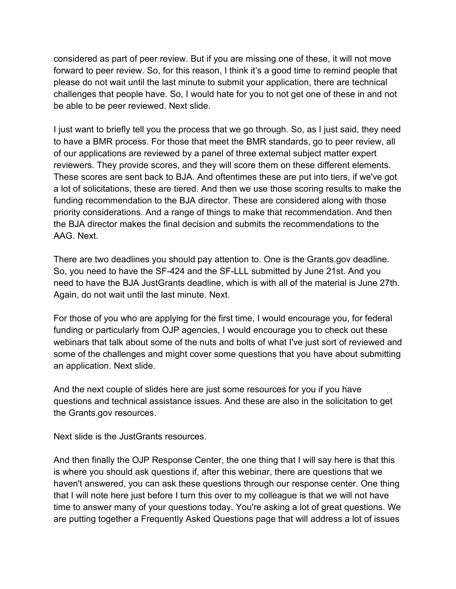considered as part of peer review. But if you are missing one of these, it will not move forward to peer review. So, for this reason, I think it's a good time to remind people that please do not wait until the last minute to submit your application, there are technical challenges that people have. So, I would hate for you to not get one of these in and not be able to be peer reviewed. Next slide.

I just want to briefly tell you the process that we go through. So, as I just said, they need to have a BMR process. For those that meet the BMR standards, go to peer review, all of our applications are reviewed by a panel of three external subject matter expert reviewers. They provide scores, and they will score them on these different elements. These scores are sent back to BJA. And oftentimes these are put into tiers, if we've got a lot of solicitations, these are tiered. And then we use those scoring results to make the funding recommendation to the BJA director. These are considered along with those priority considerations. And a range of things to make that recommendation. And then the BJA director makes the final decision and submits the recommendations to the AAG. Next.

There are two deadlines you should pay attention to. One is the Grants.gov deadline. So, you need to have the SF-424 and the SF-LLL submitted by June 21st. And you need to have the BJA JustGrants deadline, which is with all of the material is June 27th. Again, do not wait until the last minute. Next.

For those of you who are applying for the first time, I would encourage you, for federal funding or particularly from OJP agencies, I would encourage you to check out these webinars that talk about some of the nuts and bolts of what I've just sort of reviewed and some of the challenges and might cover some questions that you have about submitting an application. Next slide.

And the next couple of slides here are just some resources for you if you have questions and technical assistance issues. And these are also in the solicitation to get the Grants.gov resources.

Next slide is the JustGrants resources.

And then finally the OJP Response Center, the one thing that I will say here is that this is where you should ask questions if, after this webinar, there are questions that we haven't answered, you can ask these questions through our response center. One thing that I will note here just before I turn this over to my colleague is that we will not have time to answer many of your questions today. You're asking a lot of great questions. We are putting together a Frequently Asked Questions page that will address a lot of issues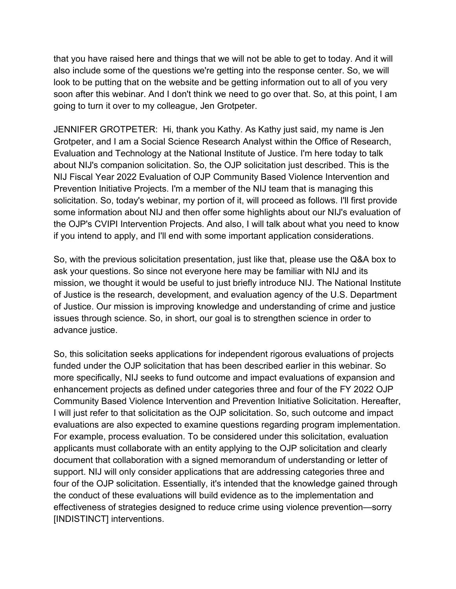that you have raised here and things that we will not be able to get to today. And it will also include some of the questions we're getting into the response center. So, we will look to be putting that on the website and be getting information out to all of you very soon after this webinar. And I don't think we need to go over that. So, at this point, I am going to turn it over to my colleague, Jen Grotpeter.

JENNIFER GROTPETER: Hi, thank you Kathy. As Kathy just said, my name is Jen Grotpeter, and I am a Social Science Research Analyst within the Office of Research, Evaluation and Technology at the National Institute of Justice. I'm here today to talk about NIJ's companion solicitation. So, the OJP solicitation just described. This is the NIJ Fiscal Year 2022 Evaluation of OJP Community Based Violence Intervention and Prevention Initiative Projects. I'm a member of the NIJ team that is managing this solicitation. So, today's webinar, my portion of it, will proceed as follows. I'll first provide some information about NIJ and then offer some highlights about our NIJ's evaluation of the OJP's CVIPI Intervention Projects. And also, I will talk about what you need to know if you intend to apply, and I'll end with some important application considerations.

So, with the previous solicitation presentation, just like that, please use the Q&A box to ask your questions. So since not everyone here may be familiar with NIJ and its mission, we thought it would be useful to just briefly introduce NIJ. The National Institute of Justice is the research, development, and evaluation agency of the U.S. Department of Justice. Our mission is improving knowledge and understanding of crime and justice issues through science. So, in short, our goal is to strengthen science in order to advance justice.

So, this solicitation seeks applications for independent rigorous evaluations of projects funded under the OJP solicitation that has been described earlier in this webinar. So more specifically, NIJ seeks to fund outcome and impact evaluations of expansion and enhancement projects as defined under categories three and four of the FY 2022 OJP Community Based Violence Intervention and Prevention Initiative Solicitation. Hereafter, I will just refer to that solicitation as the OJP solicitation. So, such outcome and impact evaluations are also expected to examine questions regarding program implementation. For example, process evaluation. To be considered under this solicitation, evaluation applicants must collaborate with an entity applying to the OJP solicitation and clearly document that collaboration with a signed memorandum of understanding or letter of support. NIJ will only consider applications that are addressing categories three and four of the OJP solicitation. Essentially, it's intended that the knowledge gained through the conduct of these evaluations will build evidence as to the implementation and effectiveness of strategies designed to reduce crime using violence prevention—sorry [INDISTINCT] interventions.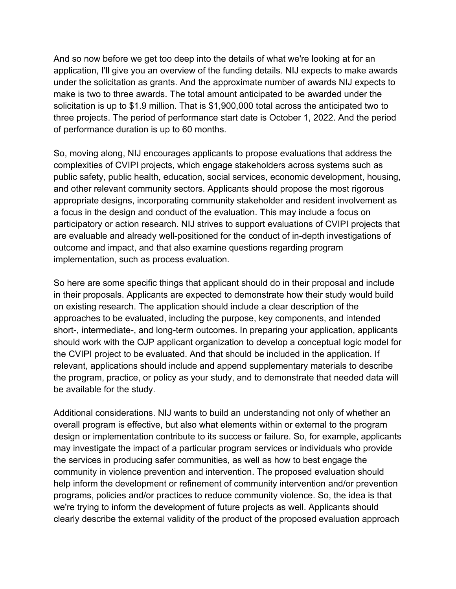And so now before we get too deep into the details of what we're looking at for an application, I'll give you an overview of the funding details. NIJ expects to make awards under the solicitation as grants. And the approximate number of awards NIJ expects to make is two to three awards. The total amount anticipated to be awarded under the solicitation is up to \$1.9 million. That is \$1,900,000 total across the anticipated two to three projects. The period of performance start date is October 1, 2022. And the period of performance duration is up to 60 months.

So, moving along, NIJ encourages applicants to propose evaluations that address the complexities of CVIPI projects, which engage stakeholders across systems such as public safety, public health, education, social services, economic development, housing, and other relevant community sectors. Applicants should propose the most rigorous appropriate designs, incorporating community stakeholder and resident involvement as a focus in the design and conduct of the evaluation. This may include a focus on participatory or action research. NIJ strives to support evaluations of CVIPI projects that are evaluable and already well-positioned for the conduct of in-depth investigations of outcome and impact, and that also examine questions regarding program implementation, such as process evaluation.

So here are some specific things that applicant should do in their proposal and include in their proposals. Applicants are expected to demonstrate how their study would build on existing research. The application should include a clear description of the approaches to be evaluated, including the purpose, key components, and intended short-, intermediate-, and long-term outcomes. In preparing your application, applicants should work with the OJP applicant organization to develop a conceptual logic model for the CVIPI project to be evaluated. And that should be included in the application. If relevant, applications should include and append supplementary materials to describe the program, practice, or policy as your study, and to demonstrate that needed data will be available for the study.

Additional considerations. NIJ wants to build an understanding not only of whether an overall program is effective, but also what elements within or external to the program design or implementation contribute to its success or failure. So, for example, applicants may investigate the impact of a particular program services or individuals who provide the services in producing safer communities, as well as how to best engage the community in violence prevention and intervention. The proposed evaluation should help inform the development or refinement of community intervention and/or prevention programs, policies and/or practices to reduce community violence. So, the idea is that we're trying to inform the development of future projects as well. Applicants should clearly describe the external validity of the product of the proposed evaluation approach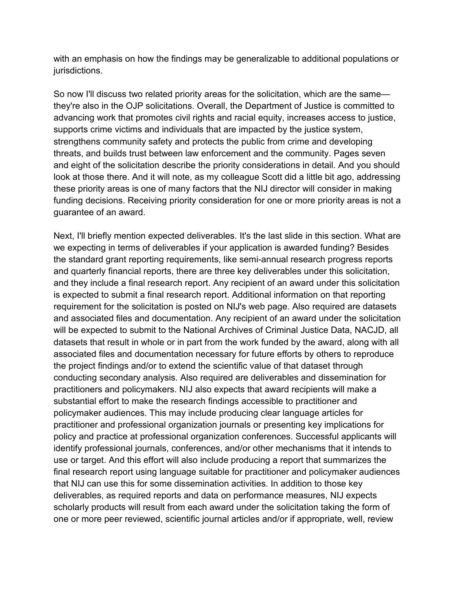with an emphasis on how the findings may be generalizable to additional populations or jurisdictions.

So now I'll discuss two related priority areas for the solicitation, which are the same they're also in the OJP solicitations. Overall, the Department of Justice is committed to advancing work that promotes civil rights and racial equity, increases access to justice, supports crime victims and individuals that are impacted by the justice system, strengthens community safety and protects the public from crime and developing threats, and builds trust between law enforcement and the community. Pages seven and eight of the solicitation describe the priority considerations in detail. And you should look at those there. And it will note, as my colleague Scott did a little bit ago, addressing these priority areas is one of many factors that the NIJ director will consider in making funding decisions. Receiving priority consideration for one or more priority areas is not a guarantee of an award.

Next, I'll briefly mention expected deliverables. It's the last slide in this section. What are we expecting in terms of deliverables if your application is awarded funding? Besides the standard grant reporting requirements, like semi-annual research progress reports and quarterly financial reports, there are three key deliverables under this solicitation, and they include a final research report. Any recipient of an award under this solicitation is expected to submit a final research report. Additional information on that reporting requirement for the solicitation is posted on NIJ's web page. Also required are datasets and associated files and documentation. Any recipient of an award under the solicitation will be expected to submit to the National Archives of Criminal Justice Data, NACJD, all datasets that result in whole or in part from the work funded by the award, along with all associated files and documentation necessary for future efforts by others to reproduce the project findings and/or to extend the scientific value of that dataset through conducting secondary analysis. Also required are deliverables and dissemination for practitioners and policymakers. NIJ also expects that award recipients will make a substantial effort to make the research findings accessible to practitioner and policymaker audiences. This may include producing clear language articles for practitioner and professional organization journals or presenting key implications for policy and practice at professional organization conferences. Successful applicants will identify professional journals, conferences, and/or other mechanisms that it intends to use or target. And this effort will also include producing a report that summarizes the final research report using language suitable for practitioner and policymaker audiences that NIJ can use this for some dissemination activities. In addition to those key deliverables, as required reports and data on performance measures, NIJ expects scholarly products will result from each award under the solicitation taking the form of one or more peer reviewed, scientific journal articles and/or if appropriate, well, review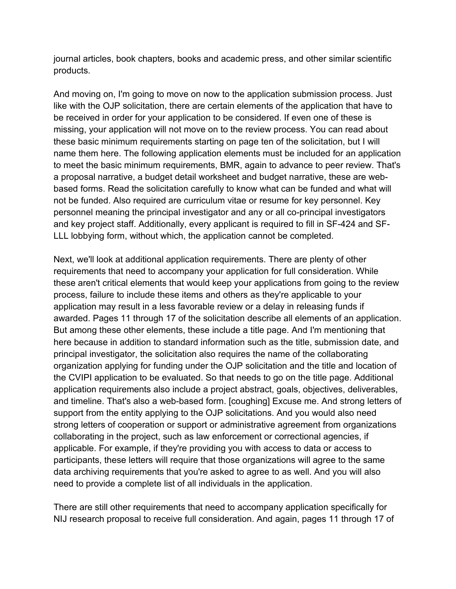journal articles, book chapters, books and academic press, and other similar scientific products.

And moving on, I'm going to move on now to the application submission process. Just like with the OJP solicitation, there are certain elements of the application that have to be received in order for your application to be considered. If even one of these is missing, your application will not move on to the review process. You can read about these basic minimum requirements starting on page ten of the solicitation, but I will name them here. The following application elements must be included for an application to meet the basic minimum requirements, BMR, again to advance to peer review. That's a proposal narrative, a budget detail worksheet and budget narrative, these are webbased forms. Read the solicitation carefully to know what can be funded and what will not be funded. Also required are curriculum vitae or resume for key personnel. Key personnel meaning the principal investigator and any or all co-principal investigators and key project staff. Additionally, every applicant is required to fill in SF-424 and SF-LLL lobbying form, without which, the application cannot be completed.

Next, we'll look at additional application requirements. There are plenty of other requirements that need to accompany your application for full consideration. While these aren't critical elements that would keep your applications from going to the review process, failure to include these items and others as they're applicable to your application may result in a less favorable review or a delay in releasing funds if awarded. Pages 11 through 17 of the solicitation describe all elements of an application. But among these other elements, these include a title page. And I'm mentioning that here because in addition to standard information such as the title, submission date, and principal investigator, the solicitation also requires the name of the collaborating organization applying for funding under the OJP solicitation and the title and location of the CVIPI application to be evaluated. So that needs to go on the title page. Additional application requirements also include a project abstract, goals, objectives, deliverables, and timeline. That's also a web-based form. [coughing] Excuse me. And strong letters of support from the entity applying to the OJP solicitations. And you would also need strong letters of cooperation or support or administrative agreement from organizations collaborating in the project, such as law enforcement or correctional agencies, if applicable. For example, if they're providing you with access to data or access to participants, these letters will require that those organizations will agree to the same data archiving requirements that you're asked to agree to as well. And you will also need to provide a complete list of all individuals in the application.

There are still other requirements that need to accompany application specifically for NIJ research proposal to receive full consideration. And again, pages 11 through 17 of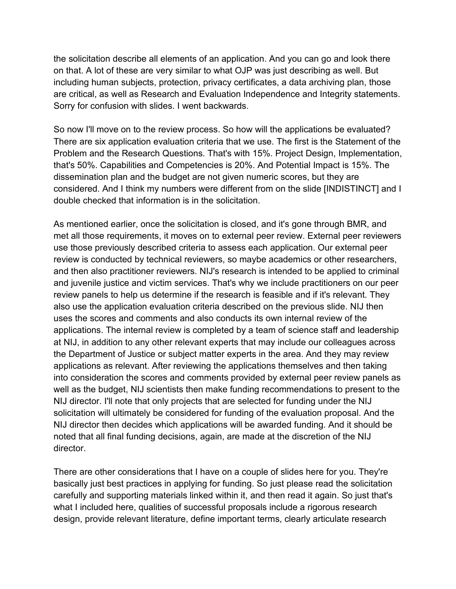the solicitation describe all elements of an application. And you can go and look there on that. A lot of these are very similar to what OJP was just describing as well. But including human subjects, protection, privacy certificates, a data archiving plan, those are critical, as well as Research and Evaluation Independence and Integrity statements. Sorry for confusion with slides. I went backwards.

So now I'll move on to the review process. So how will the applications be evaluated? There are six application evaluation criteria that we use. The first is the Statement of the Problem and the Research Questions. That's with 15%. Project Design, Implementation, that's 50%. Capabilities and Competencies is 20%. And Potential Impact is 15%. The dissemination plan and the budget are not given numeric scores, but they are considered. And I think my numbers were different from on the slide [INDISTINCT] and I double checked that information is in the solicitation.

As mentioned earlier, once the solicitation is closed, and it's gone through BMR, and met all those requirements, it moves on to external peer review. External peer reviewers use those previously described criteria to assess each application. Our external peer review is conducted by technical reviewers, so maybe academics or other researchers, and then also practitioner reviewers. NIJ's research is intended to be applied to criminal and juvenile justice and victim services. That's why we include practitioners on our peer review panels to help us determine if the research is feasible and if it's relevant. They also use the application evaluation criteria described on the previous slide. NIJ then uses the scores and comments and also conducts its own internal review of the applications. The internal review is completed by a team of science staff and leadership at NIJ, in addition to any other relevant experts that may include our colleagues across the Department of Justice or subject matter experts in the area. And they may review applications as relevant. After reviewing the applications themselves and then taking into consideration the scores and comments provided by external peer review panels as well as the budget, NIJ scientists then make funding recommendations to present to the NIJ director. I'll note that only projects that are selected for funding under the NIJ solicitation will ultimately be considered for funding of the evaluation proposal. And the NIJ director then decides which applications will be awarded funding. And it should be noted that all final funding decisions, again, are made at the discretion of the NIJ director.

There are other considerations that I have on a couple of slides here for you. They're basically just best practices in applying for funding. So just please read the solicitation carefully and supporting materials linked within it, and then read it again. So just that's what I included here, qualities of successful proposals include a rigorous research design, provide relevant literature, define important terms, clearly articulate research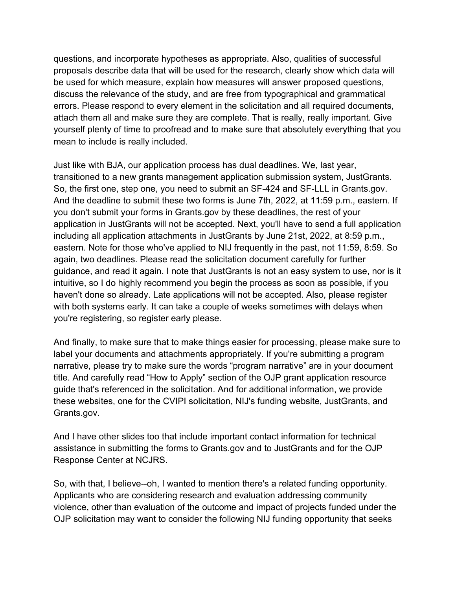questions, and incorporate hypotheses as appropriate. Also, qualities of successful proposals describe data that will be used for the research, clearly show which data will be used for which measure, explain how measures will answer proposed questions, discuss the relevance of the study, and are free from typographical and grammatical errors. Please respond to every element in the solicitation and all required documents, attach them all and make sure they are complete. That is really, really important. Give yourself plenty of time to proofread and to make sure that absolutely everything that you mean to include is really included.

Just like with BJA, our application process has dual deadlines. We, last year, transitioned to a new grants management application submission system, JustGrants. So, the first one, step one, you need to submit an SF-424 and SF-LLL in Grants.gov. And the deadline to submit these two forms is June 7th, 2022, at 11:59 p.m., eastern. If you don't submit your forms in Grants.gov by these deadlines, the rest of your application in JustGrants will not be accepted. Next, you'll have to send a full application including all application attachments in JustGrants by June 21st, 2022, at 8:59 p.m., eastern. Note for those who've applied to NIJ frequently in the past, not 11:59, 8:59. So again, two deadlines. Please read the solicitation document carefully for further guidance, and read it again. I note that JustGrants is not an easy system to use, nor is it intuitive, so I do highly recommend you begin the process as soon as possible, if you haven't done so already. Late applications will not be accepted. Also, please register with both systems early. It can take a couple of weeks sometimes with delays when you're registering, so register early please.

And finally, to make sure that to make things easier for processing, please make sure to label your documents and attachments appropriately. If you're submitting a program narrative, please try to make sure the words "program narrative" are in your document title. And carefully read "How to Apply" section of the OJP grant application resource guide that's referenced in the solicitation. And for additional information, we provide these websites, one for the CVIPI solicitation, NIJ's funding website, JustGrants, and Grants.gov.

And I have other slides too that include important contact information for technical assistance in submitting the forms to Grants.gov and to JustGrants and for the OJP Response Center at NCJRS.

So, with that, I believe--oh, I wanted to mention there's a related funding opportunity. Applicants who are considering research and evaluation addressing community violence, other than evaluation of the outcome and impact of projects funded under the OJP solicitation may want to consider the following NIJ funding opportunity that seeks